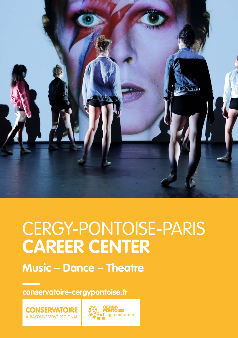

# CERGY-PONTOISE-PARIS **CAREER CENTER**

**Music – Dance – Theatre**

**conservatoire-cergypontoise.fr**



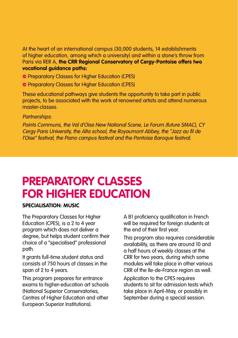At the heart of an international campus (30,000 students, 14 establishments of higher education, among which a university) and within a stone's throw from Paris via RER A, **the CRR Regional Conservatory of Cergy-Pontoise offers two vocational guidance paths:**

- **Preparatory Classes for Higher Education (CPES)**
- **Preparatory Classes for Higher Education (CPES)**

These educational pathways give students the opportunity to take part in public projects, to be associated with the work of renowned artists and attend numerous master-classes.

### Partnerships:

Points Communs, the Val d'Oise New National Scene, Le Forum (future SMAC), CY Cergy Paris University, the Alta school, the Royaumont Abbey, the "Jazz au fil de l'Oise" festival, the Piano campus festival and the Pontoise Baroque festival.

# **PREPARATORY CLASSES FOR HIGHER EDUCATION**

### **SPECIALISATION: MUSIC**

The Preparatory Classes for Higher Education (CPES), is a 2 to 4 year program which does not deliver a degree, but helps student confirm their choice of a "specialised" professional path.

It grants full-time student status and consists of 750 hours of classes in the span of 2 to 4 years.

This program prepares for entrance exams to higher-education art schools (National Superior Conservatories, Centres of Higher Education and other European Superior Institutions).

A B1 proficiency qualification in French will be required for foreign students at the end of their first year.

This program also requires considerable availability, as there are around 10 and a half hours of weekly classes at the CRR for two years, during which some modules will take place in other various CRR of the Ile-de-France region as well.

Application to the CPES requires students to sit for admission tests which take place in April-May, or possibly in September during a special session.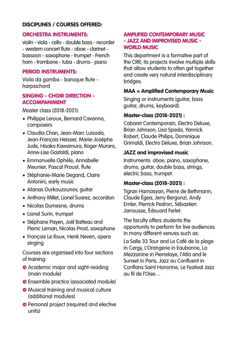### **DISCIPLINES / COURSES OFFERED:**

### **ORCHESTRA INSTRUMENTS:**

violin - viola - cello - double bass - recorder - western concert flute - oboe - clarinet bassoon - saxophone - trumpet - French horn - trombone - tuba - drums - piano

### **PERIOD INSTRUMENTS:**

Viola da gamba - baroque flute harpsichord

### **SINGING - CHOIR DIRECTION - ACCOMPANIMENT**

Master class (2018-2021):

- Philippe Leroux, Bernard Cavanna, composers
- Claudia Chan, Jean-Marc Luisada, Jean-François Heisser, Marie-Josèphe Jude, Hisako Kawamura, Roger Muraro, Anne-Lise Gastaldi, piano
- Emmanuelle Ophèle, Annabelle Meunier, Pascal Proust, flute
- Stéphanie-Marie Degand, Claire Antonini, early music
- Atanas Ourkouzounov, guitar
- Anthony Millet, Lionel Suarez, accordion
- Nicolas Dumesne, drums
- Lionel Surin, trumpet
- Stéphane Payen, Joël Batteau and Pierric Leman, Nicolas Prost, saxophone
- François Le Roux, Henk Neven, opera singing

Courses are organised into four sections of training:

- **•** Academic major and sight-reading (main module)
- **e** Ensemble practice (associated module)
- **Musical training and musical culture** (additional modules)
- **•** Personal project (required and elective units)

### **AMPLIFIED CONTEMPORARY MUSIC - JAZZ AND IMPROVISED MUSIC - WORLD MUSIC**

This department is a formative part of the CRR; its projects involve multiple skills that allow students to often get together and create very natural interdisciplinary bridges.

### **MAA = Amplified Contemporary Music**

Singing or instruments (quitar, bass guitar, drums, keyboard).

### **Master-class (2018-2021) :**

Cabaret Contemporain, Electro Deluxe, Brian Johnson, Lisa Spada, Yannick Robert, Claude Philips, Dominique Grimaldi, Electro Deluxe, Brian Johnson.

### **JAZZ and improvised music**

Instruments: oboe, piano, saxophone, drums, guitar, double bass, strings, electric bass, trumpet.

### **Master-class (2018-2021) :**

Tigran Hamasyan, Pierre de Bethmann, Claude Égea, Jerry Bergonzi, Andy Emler, Pierrick Pedron, Sébastien Jarrousse, Édouard Ferlet.

The faculty offers students the opportunity to perform for live audiences in many different venues such as:

La Salle 33 Tour and Le Café de la plage in Cergy, L'Orangerie in Eaubonne, La Mezzanine in Pierrelaye, l'Atla and le Sunset in Paris, Jazz au Confluent in Conflans Saint Honorine, Le Festival Jazz au fil de l'Oise…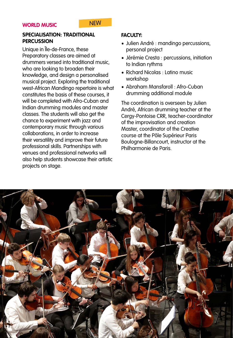### **SPECIALISATION: TRADITIONAL PERCUSSION**

Unique in Île-de-France, these Preparatory classes are aimed at drummers versed into traditional music, who are looking to broaden their knowledge, and design a personalised musical project. Exploring the traditional west-African Mandingo repertoire is what constitutes the basis of these courses, it will be completed with Afro-Cuban and Indian drumming modules and master classes. The students will also get the chance to experiment with jazz and contemporary music through various collaborations, in order to increase their versatility and improve their future professional skills. Partnerships with venues and professional networks will also help students showcase their artistic projects on stage.

### **FACULTY:**

- Julien André : mandingo percussions, personal project
- Jérémie Cresta : percussions, initiation to Indian rythms
- Richard Nicolas : Latino music workshop
- Abraham Mansfaroll : Afro-Cuban drumming additional module

The coordination is overseen by Julien André, African drumming teacher at the Cergy-Pontoise CRR, teacher-coordinator of the improvisation and creation Master, coordinator of the Creative course at the Pôle Supérieur Paris Boulogne-Billancourt, instructor at the Philharmonie de Paris.

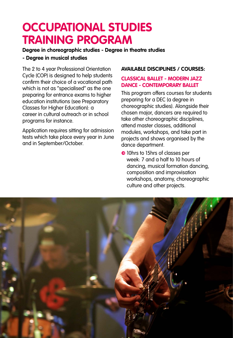## **OCCUPATIONAL STUDIES TRAINING PROGRAM**

### **Degree in choreographic studies - Degree in theatre studies**

### **- Degree in musical studies**

The 2 to 4 year Professional Orientation Cycle (COP) is designed to help students confirm their choice of a vocational path which is not as "specialised" as the one preparing for entrance exams to higher education institutions (see Preparatory Classes for Higher Education): a career in cultural outreach or in school programs for instance.

Application requires sitting for admission tests which take place every year in June and in September/October.

### **AVAILABLE DISCIPLINES / COURSES:**

### **CLASSICAL BALLET - MODERN JAZZ DANCE - CONTEMPORARY BALLET**

This program offers courses for students preparing for a DEC (a degree in choreographic studies). Alongside their chosen major, dancers are required to take other choreographic disciplines, attend master classes, additional modules, workshops, and take part in projects and shows organised by the dance department.

**•** 10hrs to 15hrs of classes per week: 7 and a half to 10 hours of dancing, musical formation dancing, composition and improvisation workshops, anatomy, choreographic culture and other projects.